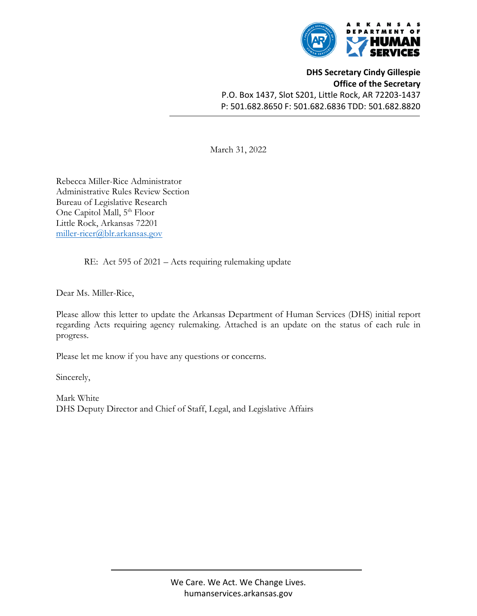

**DHS Secretary Cindy Gillespie Office of the Secretary** P.O. Box 1437, Slot S201, Little Rock, AR 72203‐1437 P: 501.682.8650 F: 501.682.6836 TDD: 501.682.8820

March 31, 2022

Rebecca Miller-Rice Administrator Administrative Rules Review Section Bureau of Legislative Research One Capitol Mall, 5<sup>th</sup> Floor Little Rock, Arkansas 72201 miller-ricer@blr.arkansas.gov

RE: Act 595 of 2021 – Acts requiring rulemaking update

Dear Ms. Miller-Rice,

Please allow this letter to update the Arkansas Department of Human Services (DHS) initial report regarding Acts requiring agency rulemaking. Attached is an update on the status of each rule in progress.

Please let me know if you have any questions or concerns.

Sincerely,

Mark White DHS Deputy Director and Chief of Staff, Legal, and Legislative Affairs